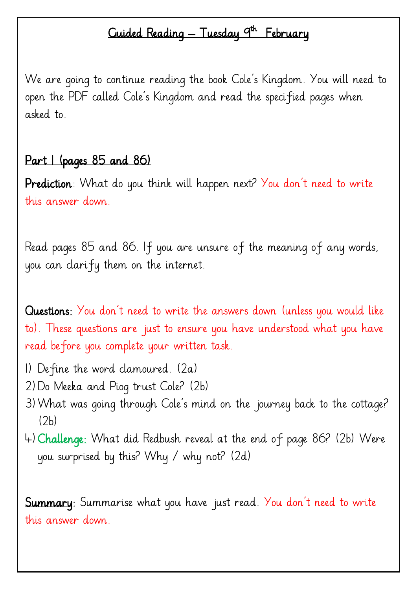## Guided Reading — Tuesday <sup>9th</sup> February

We are going to continue reading the book Cole's Kingdom. You will need to open the PDF called Cole's Kingdom and read the specified pages when asked to.

## Part I (pages 85 and 86)

Prediction: What do you think will happen next? You don't need to write this answer down.

Read pages 85 and 86. If you are unsure of the meaning of any words, you can clarify them on the internet.

Questions: You don't need to write the answers down (unless you would like to). These questions are just to ensure you have understood what you have read before you complete your written task.

- 1) Define the word clamoured. (2a)
- 2)Do Meeka and Piog trust Cole? (2b)
- 3)What was going through Cole's mind on the journey back to the cottage?  $(2h)$
- 4)Challenge: What did Redbush reveal at the end of page 86? (2b) Were you surprised by this? Why / why not? (2d)

**Summary:** Summarise what you have just read. You don't need to write this answer down.